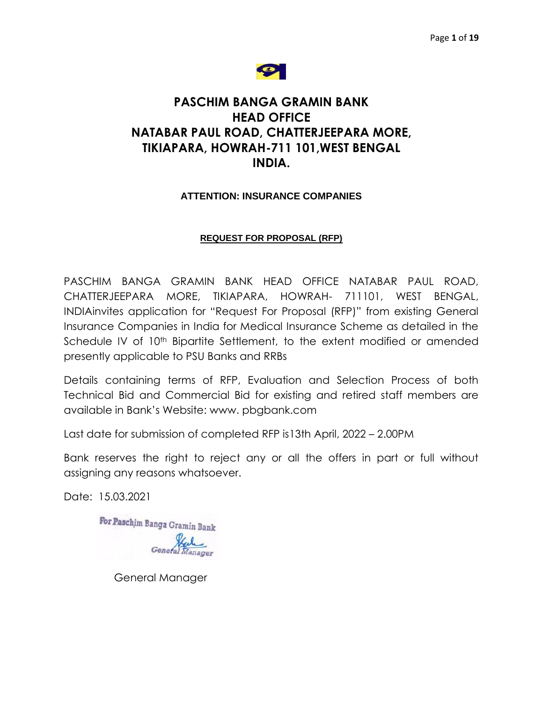

## **PASCHIM BANGA GRAMIN BANK HEAD OFFICE NATABAR PAUL ROAD, CHATTERJEEPARA MORE, TIKIAPARA, HOWRAH-711 101,WEST BENGAL INDIA.**

#### **ATTENTION: INSURANCE COMPANIES**

#### **REQUEST FOR PROPOSAL (RFP)**

PASCHIM BANGA GRAMIN BANK HEAD OFFICE NATABAR PAUL ROAD, CHATTERJEEPARA MORE, TIKIAPARA, HOWRAH- 711101, WEST BENGAL, INDIAinvites application for "Request For Proposal (RFP)" from existing General Insurance Companies in India for Medical Insurance Scheme as detailed in the Schedule IV of 10<sup>th</sup> Bipartite Settlement, to the extent modified or amended presently applicable to PSU Banks and RRBs

Details containing terms of RFP, Evaluation and Selection Process of both Technical Bid and Commercial Bid for existing and retired staff members are available in Bank's Website: www. pbgbank.com

Last date for submission of completed RFP is13th April, 2022 – 2.00PM

Bank reserves the right to reject any or all the offers in part or full without assigning any reasons whatsoever.

Date: 15.03.2021

For Paschim Banga Gramin Bank

General Manager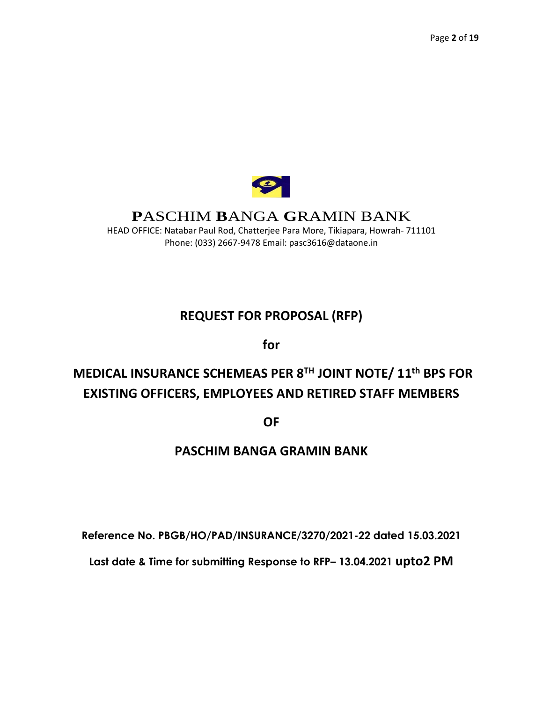

## **P**ASCHIM **B**ANGA **G**RAMIN BANK

HEAD OFFICE: Natabar Paul Rod, Chatterjee Para More, Tikiapara, Howrah- 711101 Phone: (033) 2667-9478 Email: pasc3616@dataone.in

## **REQUEST FOR PROPOSAL (RFP)**

**for**

# **MEDICAL INSURANCE SCHEMEAS PER 8 TH JOINT NOTE/ 11 th BPS FOR EXISTING OFFICERS, EMPLOYEES AND RETIRED STAFF MEMBERS**

**OF**

## **PASCHIM BANGA GRAMIN BANK**

**Reference No. PBGB/HO/PAD/INSURANCE/3270/2021-22 dated 15.03.2021**

**Last date & Time for submitting Response to RFP– 13.04.2021 upto2 PM**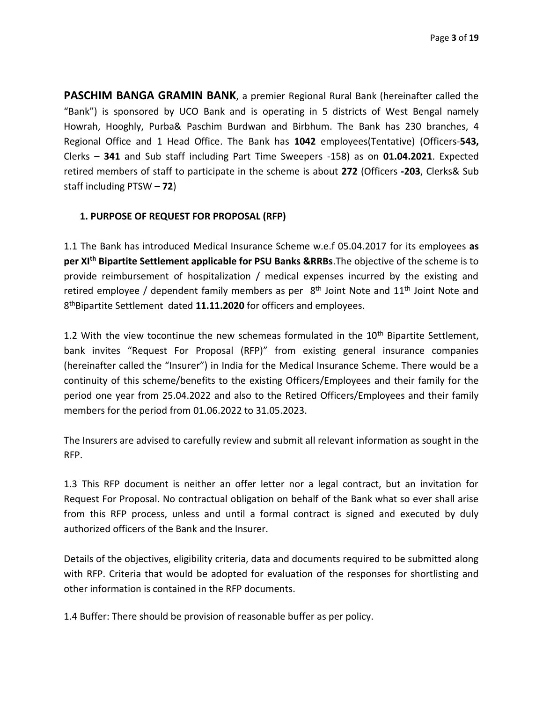**PASCHIM BANGA GRAMIN BANK**, a premier Regional Rural Bank (hereinafter called the "Bank") is sponsored by UCO Bank and is operating in 5 districts of West Bengal namely Howrah, Hooghly, Purba& Paschim Burdwan and Birbhum. The Bank has 230 branches, 4 Regional Office and 1 Head Office. The Bank has **1042** employees(Tentative) (Officers-**543,** Clerks **– 341** and Sub staff including Part Time Sweepers -158) as on **01.04.2021**. Expected retired members of staff to participate in the scheme is about **272** (Officers **-203**, Clerks& Sub staff including PTSW **– 72**)

#### **1. PURPOSE OF REQUEST FOR PROPOSAL (RFP)**

1.1 The Bank has introduced Medical Insurance Scheme w.e.f 05.04.2017 for its employees **as per XIth Bipartite Settlement applicable for PSU Banks &RRBs**.The objective of the scheme is to provide reimbursement of hospitalization / medical expenses incurred by the existing and retired employee / dependent family members as per  $8<sup>th</sup>$  Joint Note and  $11<sup>th</sup>$  Joint Note and 8 thBipartite Settlement dated **11.11.2020** for officers and employees.

1.2 With the view tocontinue the new schemeas formulated in the  $10<sup>th</sup>$  Bipartite Settlement, bank invites "Request For Proposal (RFP)" from existing general insurance companies (hereinafter called the "Insurer") in India for the Medical Insurance Scheme. There would be a continuity of this scheme/benefits to the existing Officers/Employees and their family for the period one year from 25.04.2022 and also to the Retired Officers/Employees and their family members for the period from 01.06.2022 to 31.05.2023.

The Insurers are advised to carefully review and submit all relevant information as sought in the RFP.

1.3 This RFP document is neither an offer letter nor a legal contract, but an invitation for Request For Proposal. No contractual obligation on behalf of the Bank what so ever shall arise from this RFP process, unless and until a formal contract is signed and executed by duly authorized officers of the Bank and the Insurer.

Details of the objectives, eligibility criteria, data and documents required to be submitted along with RFP. Criteria that would be adopted for evaluation of the responses for shortlisting and other information is contained in the RFP documents.

1.4 Buffer: There should be provision of reasonable buffer as per policy.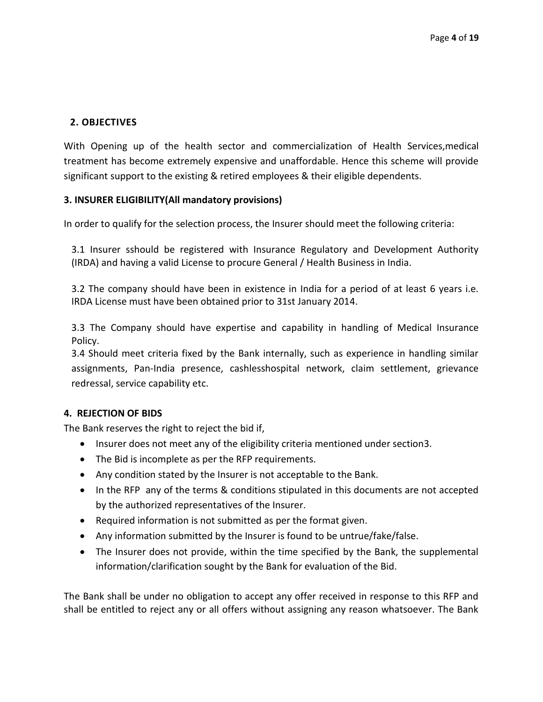#### **2. OBJECTIVES**

With Opening up of the health sector and commercialization of Health Services,medical treatment has become extremely expensive and unaffordable. Hence this scheme will provide significant support to the existing & retired employees & their eligible dependents.

#### **3. INSURER ELIGIBILITY(All mandatory provisions)**

In order to qualify for the selection process, the Insurer should meet the following criteria:

3.1 Insurer sshould be registered with Insurance Regulatory and Development Authority (IRDA) and having a valid License to procure General / Health Business in India.

3.2 The company should have been in existence in India for a period of at least 6 years i.e. IRDA License must have been obtained prior to 31st January 2014.

3.3 The Company should have expertise and capability in handling of Medical Insurance Policy.

3.4 Should meet criteria fixed by the Bank internally, such as experience in handling similar assignments, Pan-India presence, cashlesshospital network, claim settlement, grievance redressal, service capability etc.

#### **4. REJECTION OF BIDS**

The Bank reserves the right to reject the bid if,

- Insurer does not meet any of the eligibility criteria mentioned under section3.
- The Bid is incomplete as per the RFP requirements.
- Any condition stated by the Insurer is not acceptable to the Bank.
- In the RFP any of the terms & conditions stipulated in this documents are not accepted by the authorized representatives of the Insurer.
- Required information is not submitted as per the format given.
- Any information submitted by the Insurer is found to be untrue/fake/false.
- The Insurer does not provide, within the time specified by the Bank, the supplemental information/clarification sought by the Bank for evaluation of the Bid.

The Bank shall be under no obligation to accept any offer received in response to this RFP and shall be entitled to reject any or all offers without assigning any reason whatsoever. The Bank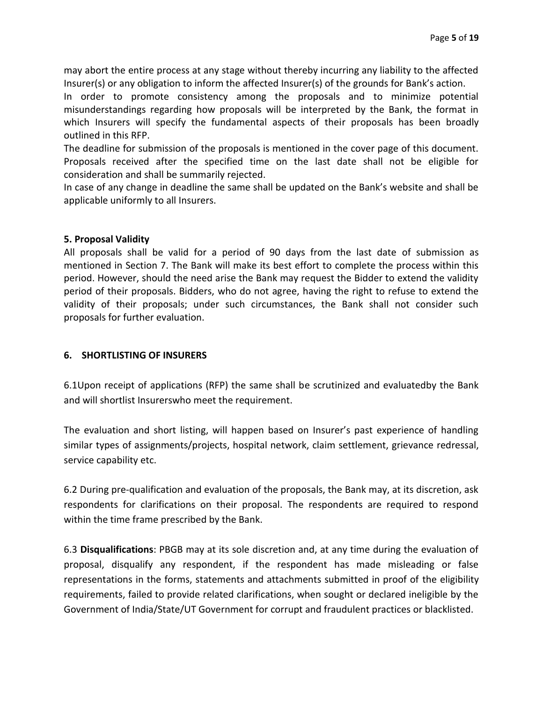may abort the entire process at any stage without thereby incurring any liability to the affected Insurer(s) or any obligation to inform the affected Insurer(s) of the grounds for Bank's action.

In order to promote consistency among the proposals and to minimize potential misunderstandings regarding how proposals will be interpreted by the Bank, the format in which Insurers will specify the fundamental aspects of their proposals has been broadly outlined in this RFP.

The deadline for submission of the proposals is mentioned in the cover page of this document. Proposals received after the specified time on the last date shall not be eligible for consideration and shall be summarily rejected.

In case of any change in deadline the same shall be updated on the Bank's website and shall be applicable uniformly to all Insurers.

#### **5. Proposal Validity**

All proposals shall be valid for a period of 90 days from the last date of submission as mentioned in Section 7. The Bank will make its best effort to complete the process within this period. However, should the need arise the Bank may request the Bidder to extend the validity period of their proposals. Bidders, who do not agree, having the right to refuse to extend the validity of their proposals; under such circumstances, the Bank shall not consider such proposals for further evaluation.

#### **6. SHORTLISTING OF INSURERS**

6.1Upon receipt of applications (RFP) the same shall be scrutinized and evaluatedby the Bank and will shortlist Insurerswho meet the requirement.

The evaluation and short listing, will happen based on Insurer's past experience of handling similar types of assignments/projects, hospital network, claim settlement, grievance redressal, service capability etc.

6.2 During pre-qualification and evaluation of the proposals, the Bank may, at its discretion, ask respondents for clarifications on their proposal. The respondents are required to respond within the time frame prescribed by the Bank.

6.3 **Disqualifications**: PBGB may at its sole discretion and, at any time during the evaluation of proposal, disqualify any respondent, if the respondent has made misleading or false representations in the forms, statements and attachments submitted in proof of the eligibility requirements, failed to provide related clarifications, when sought or declared ineligible by the Government of India/State/UT Government for corrupt and fraudulent practices or blacklisted.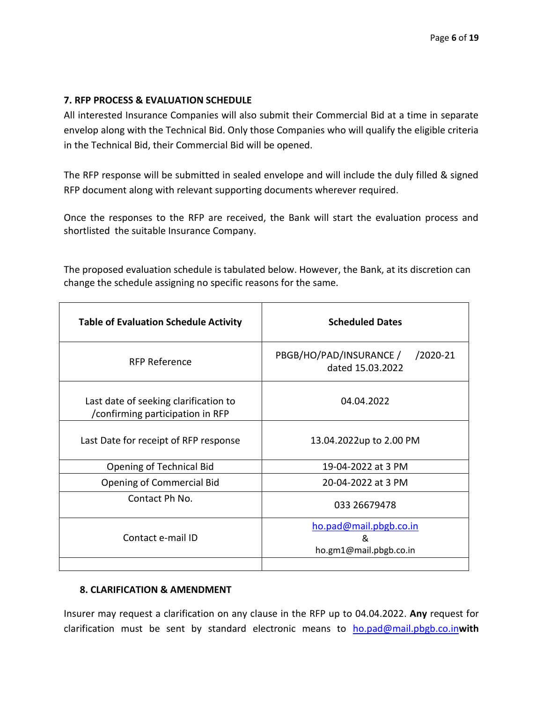#### **7. RFP PROCESS & EVALUATION SCHEDULE**

All interested Insurance Companies will also submit their Commercial Bid at a time in separate envelop along with the Technical Bid. Only those Companies who will qualify the eligible criteria in the Technical Bid, their Commercial Bid will be opened.

The RFP response will be submitted in sealed envelope and will include the duly filled & signed RFP document along with relevant supporting documents wherever required.

Once the responses to the RFP are received, the Bank will start the evaluation process and shortlisted the suitable Insurance Company.

The proposed evaluation schedule is tabulated below. However, the Bank, at its discretion can change the schedule assigning no specific reasons for the same.

| <b>Table of Evaluation Schedule Activity</b>                              | <b>Scheduled Dates</b>                                      |
|---------------------------------------------------------------------------|-------------------------------------------------------------|
| RFP Reference                                                             | PBGB/HO/PAD/INSURANCE /<br>$/2020 - 21$<br>dated 15.03.2022 |
| Last date of seeking clarification to<br>/confirming participation in RFP | 04.04.2022                                                  |
| Last Date for receipt of RFP response                                     | 13.04.2022up to 2.00 PM                                     |
| Opening of Technical Bid                                                  | 19-04-2022 at 3 PM                                          |
| <b>Opening of Commercial Bid</b>                                          | 20-04-2022 at 3 PM                                          |
| Contact Ph No.                                                            | 033 26679478                                                |
| Contact e-mail ID                                                         | ho.pad@mail.pbgb.co.in<br>&<br>ho.gm1@mail.pbgb.co.in       |
|                                                                           |                                                             |

#### **8. CLARIFICATION & AMENDMENT**

Insurer may request a clarification on any clause in the RFP up to 04.04.2022. **Any** request for clarification must be sent by standard electronic means to [ho.pad@mail.pbgb.co.in](mailto:ho.pad@mail.pbgb.co.in)**with**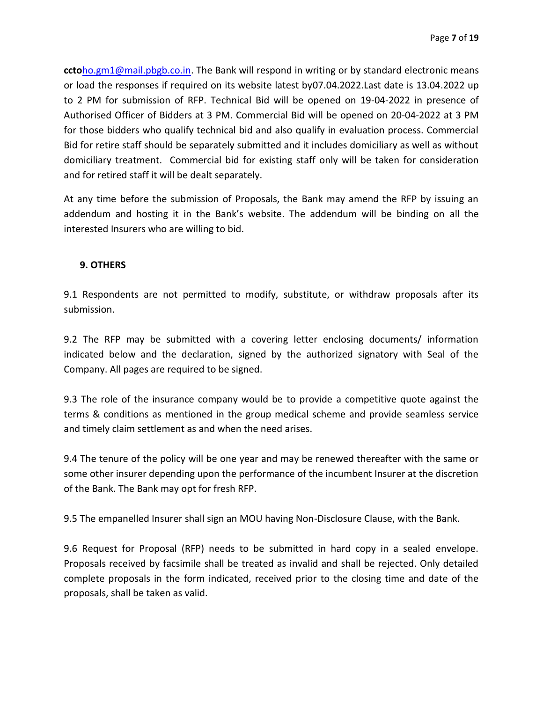**ccto**[ho.gm1@mail.pbgb.co.in.](mailto:ho.gm1@mail.pbgb.co.in) The Bank will respond in writing or by standard electronic means or load the responses if required on its website latest by07.04.2022.Last date is 13.04.2022 up to 2 PM for submission of RFP. Technical Bid will be opened on 19-04-2022 in presence of Authorised Officer of Bidders at 3 PM. Commercial Bid will be opened on 20-04-2022 at 3 PM for those bidders who qualify technical bid and also qualify in evaluation process. Commercial Bid for retire staff should be separately submitted and it includes domiciliary as well as without domiciliary treatment. Commercial bid for existing staff only will be taken for consideration and for retired staff it will be dealt separately.

At any time before the submission of Proposals, the Bank may amend the RFP by issuing an addendum and hosting it in the Bank's website. The addendum will be binding on all the interested Insurers who are willing to bid.

#### **9. OTHERS**

9.1 Respondents are not permitted to modify, substitute, or withdraw proposals after its submission.

9.2 The RFP may be submitted with a covering letter enclosing documents/ information indicated below and the declaration, signed by the authorized signatory with Seal of the Company. All pages are required to be signed.

9.3 The role of the insurance company would be to provide a competitive quote against the terms & conditions as mentioned in the group medical scheme and provide seamless service and timely claim settlement as and when the need arises.

9.4 The tenure of the policy will be one year and may be renewed thereafter with the same or some other insurer depending upon the performance of the incumbent Insurer at the discretion of the Bank. The Bank may opt for fresh RFP.

9.5 The empanelled Insurer shall sign an MOU having Non-Disclosure Clause, with the Bank.

9.6 Request for Proposal (RFP) needs to be submitted in hard copy in a sealed envelope. Proposals received by facsimile shall be treated as invalid and shall be rejected. Only detailed complete proposals in the form indicated, received prior to the closing time and date of the proposals, shall be taken as valid.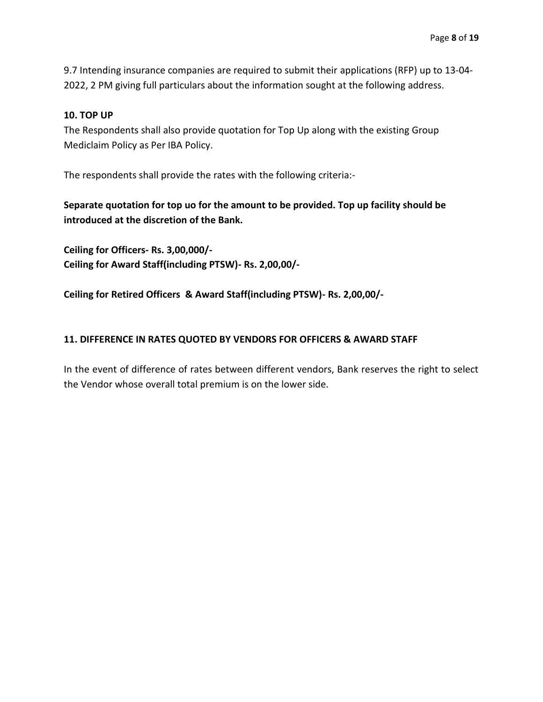9.7 Intending insurance companies are required to submit their applications (RFP) up to 13-04- 2022, 2 PM giving full particulars about the information sought at the following address.

#### **10. TOP UP**

The Respondents shall also provide quotation for Top Up along with the existing Group Mediclaim Policy as Per IBA Policy.

The respondents shall provide the rates with the following criteria:-

**Separate quotation for top uo for the amount to be provided. Top up facility should be introduced at the discretion of the Bank.**

**Ceiling for Officers- Rs. 3,00,000/- Ceiling for Award Staff(including PTSW)- Rs. 2,00,00/-**

**Ceiling for Retired Officers & Award Staff(including PTSW)- Rs. 2,00,00/-**

#### **11. DIFFERENCE IN RATES QUOTED BY VENDORS FOR OFFICERS & AWARD STAFF**

In the event of difference of rates between different vendors, Bank reserves the right to select the Vendor whose overall total premium is on the lower side.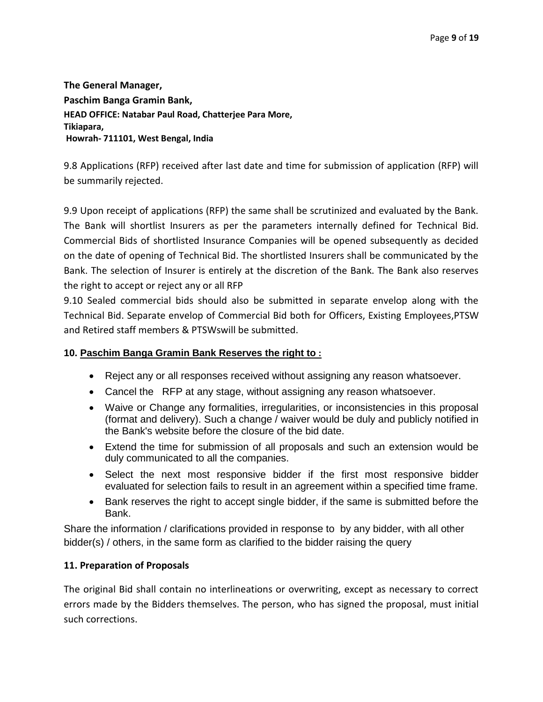**The General Manager, Paschim Banga Gramin Bank, HEAD OFFICE: Natabar Paul Road, Chatterjee Para More, Tikiapara, Howrah- 711101, West Bengal, India**

9.8 Applications (RFP) received after last date and time for submission of application (RFP) will be summarily rejected.

9.9 Upon receipt of applications (RFP) the same shall be scrutinized and evaluated by the Bank. The Bank will shortlist Insurers as per the parameters internally defined for Technical Bid. Commercial Bids of shortlisted Insurance Companies will be opened subsequently as decided on the date of opening of Technical Bid. The shortlisted Insurers shall be communicated by the Bank. The selection of Insurer is entirely at the discretion of the Bank. The Bank also reserves the right to accept or reject any or all RFP

9.10 Sealed commercial bids should also be submitted in separate envelop along with the Technical Bid. Separate envelop of Commercial Bid both for Officers, Existing Employees,PTSW and Retired staff members & PTSWswill be submitted.

### **10. Paschim Banga Gramin Bank Reserves the right to :**

- Reject any or all responses received without assigning any reason whatsoever.
- Cancel the RFP at any stage, without assigning any reason whatsoever.
- Waive or Change any formalities, irregularities, or inconsistencies in this proposal (format and delivery). Such a change / waiver would be duly and publicly notified in the Bank's website before the closure of the bid date.
- Extend the time for submission of all proposals and such an extension would be duly communicated to all the companies.
- Select the next most responsive bidder if the first most responsive bidder evaluated for selection fails to result in an agreement within a specified time frame.
- Bank reserves the right to accept single bidder, if the same is submitted before the Bank.

Share the information / clarifications provided in response to by any bidder, with all other bidder(s) / others, in the same form as clarified to the bidder raising the query

#### **11. Preparation of Proposals**

The original Bid shall contain no interlineations or overwriting, except as necessary to correct errors made by the Bidders themselves. The person, who has signed the proposal, must initial such corrections.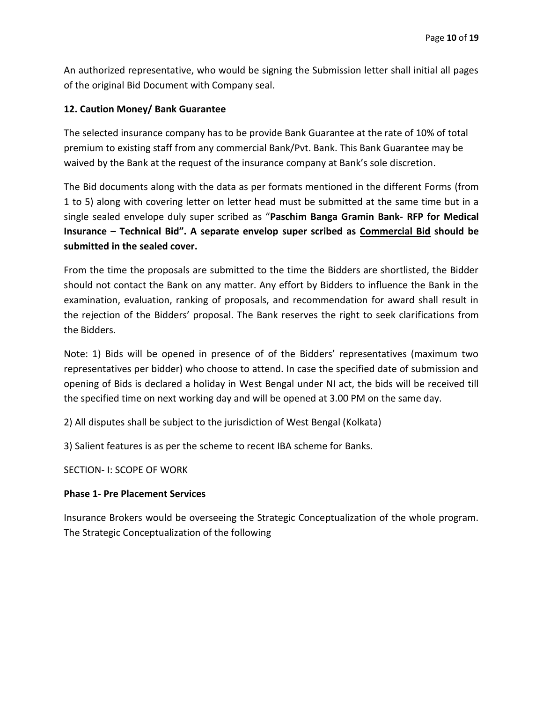An authorized representative, who would be signing the Submission letter shall initial all pages of the original Bid Document with Company seal.

#### **12. Caution Money/ Bank Guarantee**

The selected insurance company has to be provide Bank Guarantee at the rate of 10% of total premium to existing staff from any commercial Bank/Pvt. Bank. This Bank Guarantee may be waived by the Bank at the request of the insurance company at Bank's sole discretion.

The Bid documents along with the data as per formats mentioned in the different Forms (from 1 to 5) along with covering letter on letter head must be submitted at the same time but in a single sealed envelope duly super scribed as "**Paschim Banga Gramin Bank- RFP for Medical Insurance – Technical Bid". A separate envelop super scribed as Commercial Bid should be submitted in the sealed cover.** 

From the time the proposals are submitted to the time the Bidders are shortlisted, the Bidder should not contact the Bank on any matter. Any effort by Bidders to influence the Bank in the examination, evaluation, ranking of proposals, and recommendation for award shall result in the rejection of the Bidders' proposal. The Bank reserves the right to seek clarifications from the Bidders.

Note: 1) Bids will be opened in presence of of the Bidders' representatives (maximum two representatives per bidder) who choose to attend. In case the specified date of submission and opening of Bids is declared a holiday in West Bengal under NI act, the bids will be received till the specified time on next working day and will be opened at 3.00 PM on the same day.

2) All disputes shall be subject to the jurisdiction of West Bengal (Kolkata)

3) Salient features is as per the scheme to recent IBA scheme for Banks.

#### SECTION- I: SCOPE OF WORK

#### **Phase 1- Pre Placement Services**

Insurance Brokers would be overseeing the Strategic Conceptualization of the whole program. The Strategic Conceptualization of the following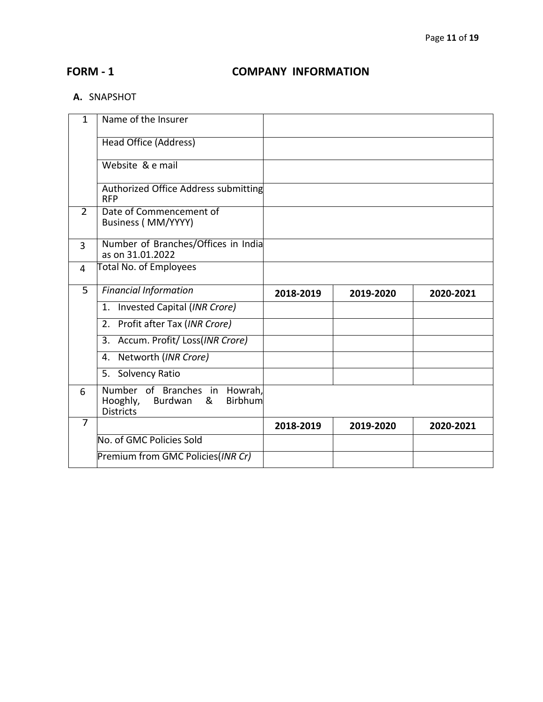## **FORM - 1 COMPANY INFORMATION**

**A.** SNAPSHOT

| $\mathbf{1}$   | Name of the Insurer                                                                      |           |           |           |
|----------------|------------------------------------------------------------------------------------------|-----------|-----------|-----------|
|                | Head Office (Address)                                                                    |           |           |           |
|                | Website & e mail                                                                         |           |           |           |
|                | Authorized Office Address submitting<br><b>RFP</b>                                       |           |           |           |
| $\overline{2}$ | Date of Commencement of<br>Business (MM/YYYY)                                            |           |           |           |
| 3              | Number of Branches/Offices in India<br>as on 31.01.2022                                  |           |           |           |
| 4              | Total No. of Employees                                                                   |           |           |           |
| 5              | <b>Financial Information</b>                                                             | 2018-2019 | 2019-2020 | 2020-2021 |
|                | Invested Capital (INR Crore)<br>1.                                                       |           |           |           |
|                | 2. Profit after Tax (INR Crore)                                                          |           |           |           |
|                | 3. Accum. Profit/Loss(INR Crore)                                                         |           |           |           |
|                | Networth (INR Crore)<br>4.                                                               |           |           |           |
|                | 5. Solvency Ratio                                                                        |           |           |           |
| 6              | Number of Branches in Howrah,<br>Birbhum<br>Hooghly,<br>Burdwan<br>&<br><b>Districts</b> |           |           |           |
| $\overline{7}$ |                                                                                          | 2018-2019 | 2019-2020 | 2020-2021 |
|                | No. of GMC Policies Sold                                                                 |           |           |           |
|                | Premium from GMC Policies(INR Cr)                                                        |           |           |           |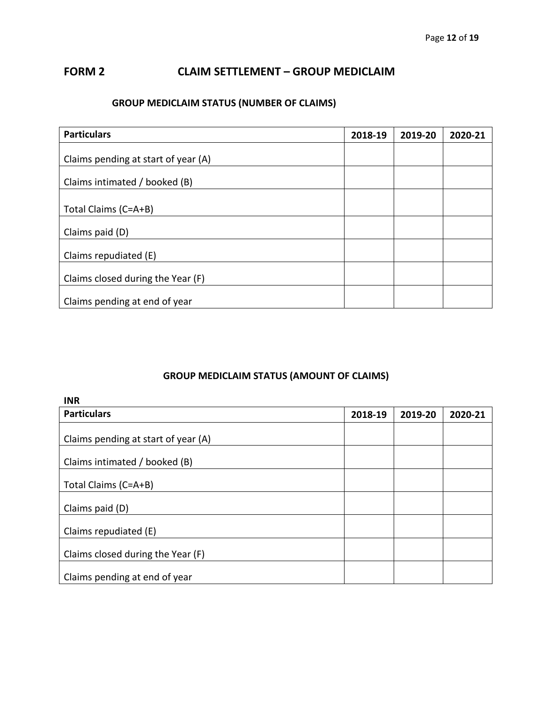## **FORM 2 CLAIM SETTLEMENT – GROUP MEDICLAIM**

### **GROUP MEDICLAIM STATUS (NUMBER OF CLAIMS)**

| <b>Particulars</b>                  | 2018-19 | 2019-20 | 2020-21 |
|-------------------------------------|---------|---------|---------|
| Claims pending at start of year (A) |         |         |         |
| Claims intimated / booked (B)       |         |         |         |
| Total Claims (C=A+B)                |         |         |         |
| Claims paid (D)                     |         |         |         |
| Claims repudiated (E)               |         |         |         |
| Claims closed during the Year (F)   |         |         |         |
| Claims pending at end of year       |         |         |         |

### **GROUP MEDICLAIM STATUS (AMOUNT OF CLAIMS)**

| <b>INR</b>                          |         |         |         |
|-------------------------------------|---------|---------|---------|
| <b>Particulars</b>                  | 2018-19 | 2019-20 | 2020-21 |
| Claims pending at start of year (A) |         |         |         |
| Claims intimated / booked (B)       |         |         |         |
| Total Claims (C=A+B)                |         |         |         |
| Claims paid (D)                     |         |         |         |
| Claims repudiated (E)               |         |         |         |
| Claims closed during the Year (F)   |         |         |         |
| Claims pending at end of year       |         |         |         |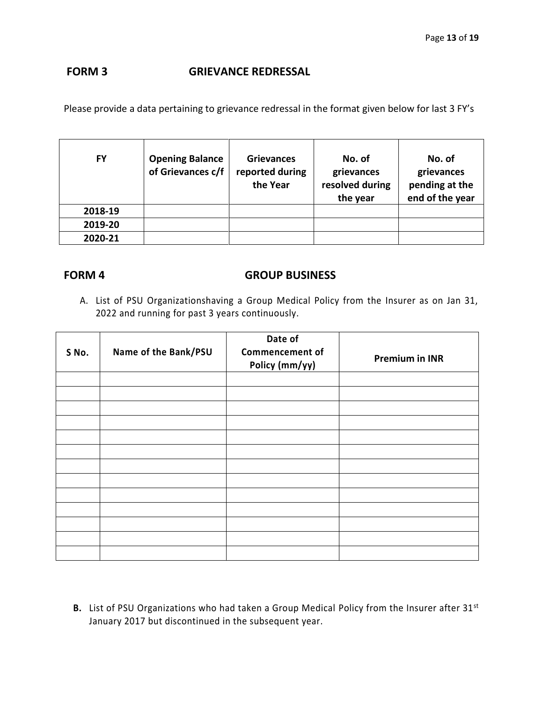## **FORM 3 GRIEVANCE REDRESSAL**

Please provide a data pertaining to grievance redressal in the format given below for last 3 FY's

| FY      | <b>Opening Balance</b><br>of Grievances c/f | <b>Grievances</b><br>reported during<br>the Year | No. of<br>grievances<br>resolved during<br>the year | No. of<br>grievances<br>pending at the<br>end of the year |
|---------|---------------------------------------------|--------------------------------------------------|-----------------------------------------------------|-----------------------------------------------------------|
| 2018-19 |                                             |                                                  |                                                     |                                                           |
| 2019-20 |                                             |                                                  |                                                     |                                                           |
| 2020-21 |                                             |                                                  |                                                     |                                                           |

## FORM 4 **GROUP BUSINESS**

A. List of PSU Organizationshaving a Group Medical Policy from the Insurer as on Jan 31, 2022 and running for past 3 years continuously.

| S No. | Name of the Bank/PSU | Date of<br>Commencement of<br>Policy (mm/yy) | <b>Premium in INR</b> |
|-------|----------------------|----------------------------------------------|-----------------------|
|       |                      |                                              |                       |
|       |                      |                                              |                       |
|       |                      |                                              |                       |
|       |                      |                                              |                       |
|       |                      |                                              |                       |
|       |                      |                                              |                       |
|       |                      |                                              |                       |
|       |                      |                                              |                       |
|       |                      |                                              |                       |
|       |                      |                                              |                       |
|       |                      |                                              |                       |
|       |                      |                                              |                       |

**B.** List of PSU Organizations who had taken a Group Medical Policy from the Insurer after 31<sup>st</sup> January 2017 but discontinued in the subsequent year.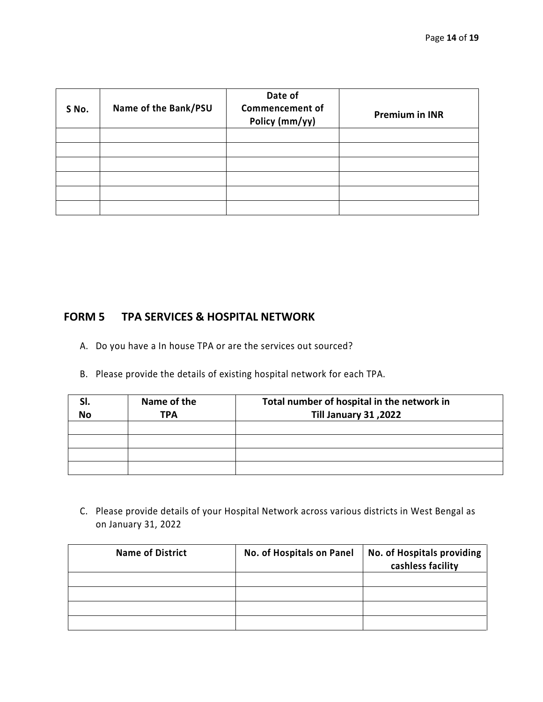| S No. | Name of the Bank/PSU | Date of<br><b>Commencement of</b><br>Policy (mm/yy) | <b>Premium in INR</b> |
|-------|----------------------|-----------------------------------------------------|-----------------------|
|       |                      |                                                     |                       |
|       |                      |                                                     |                       |
|       |                      |                                                     |                       |
|       |                      |                                                     |                       |
|       |                      |                                                     |                       |
|       |                      |                                                     |                       |

## **FORM 5 TPA SERVICES & HOSPITAL NETWORK**

- A. Do you have a In house TPA or are the services out sourced?
- B. Please provide the details of existing hospital network for each TPA.

| No | Name of the<br><b>TPA</b> | Total number of hospital in the network in<br>Till January 31, 2022 |  |
|----|---------------------------|---------------------------------------------------------------------|--|
|    |                           |                                                                     |  |
|    |                           |                                                                     |  |
|    |                           |                                                                     |  |
|    |                           |                                                                     |  |

C. Please provide details of your Hospital Network across various districts in West Bengal as on January 31, 2022

| <b>Name of District</b> | No. of Hospitals on Panel | <b>No. of Hospitals providing</b><br>cashless facility |
|-------------------------|---------------------------|--------------------------------------------------------|
|                         |                           |                                                        |
|                         |                           |                                                        |
|                         |                           |                                                        |
|                         |                           |                                                        |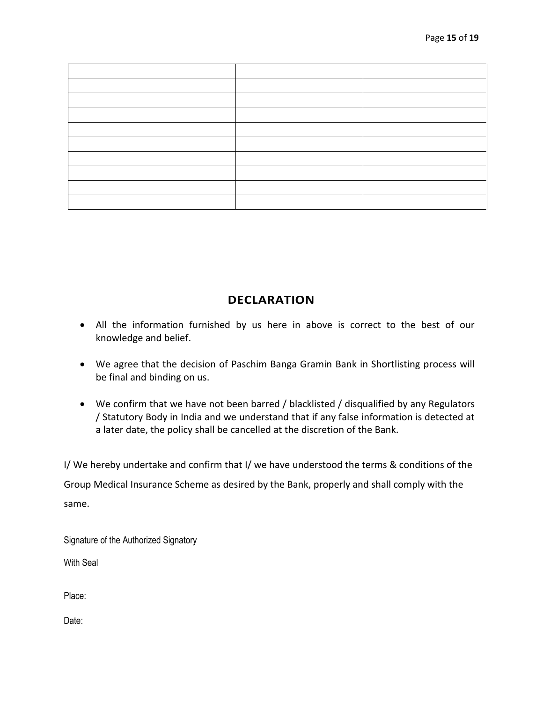## **DECLARATION**

- All the information furnished by us here in above is correct to the best of our knowledge and belief.
- We agree that the decision of Paschim Banga Gramin Bank in Shortlisting process will be final and binding on us.
- We confirm that we have not been barred / blacklisted / disqualified by any Regulators / Statutory Body in India and we understand that if any false information is detected at a later date, the policy shall be cancelled at the discretion of the Bank.

I/ We hereby undertake and confirm that I/ we have understood the terms & conditions of the Group Medical Insurance Scheme as desired by the Bank, properly and shall comply with the same.

| Signature of the Authorized Signatory |  |  |
|---------------------------------------|--|--|
| With Seal                             |  |  |
|                                       |  |  |
| Place:                                |  |  |
| Date:                                 |  |  |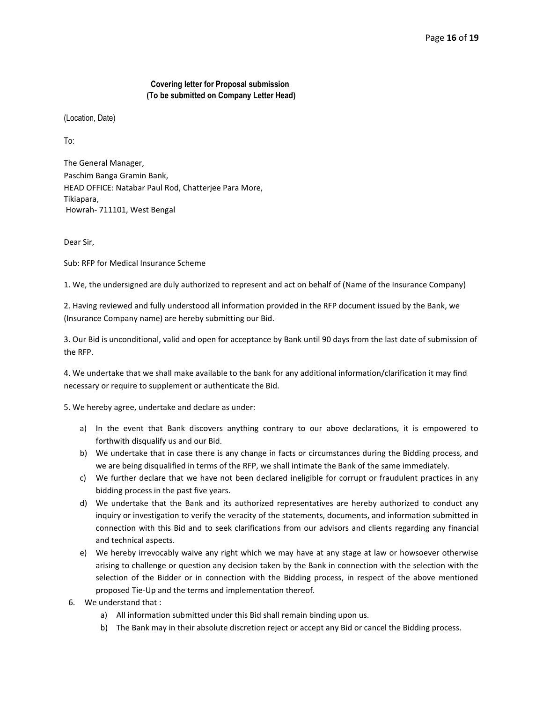#### **Covering letter for Proposal submission (To be submitted on Company Letter Head)**

(Location, Date)

To:

The General Manager, Paschim Banga Gramin Bank, HEAD OFFICE: Natabar Paul Rod, Chatterjee Para More, Tikiapara, Howrah- 711101, West Bengal

Dear Sir,

Sub: RFP for Medical Insurance Scheme

1. We, the undersigned are duly authorized to represent and act on behalf of (Name of the Insurance Company)

2. Having reviewed and fully understood all information provided in the RFP document issued by the Bank, we (Insurance Company name) are hereby submitting our Bid.

3. Our Bid is unconditional, valid and open for acceptance by Bank until 90 days from the last date of submission of the RFP.

4. We undertake that we shall make available to the bank for any additional information/clarification it may find necessary or require to supplement or authenticate the Bid.

5. We hereby agree, undertake and declare as under:

- a) In the event that Bank discovers anything contrary to our above declarations, it is empowered to forthwith disqualify us and our Bid.
- b) We undertake that in case there is any change in facts or circumstances during the Bidding process, and we are being disqualified in terms of the RFP, we shall intimate the Bank of the same immediately.
- c) We further declare that we have not been declared ineligible for corrupt or fraudulent practices in any bidding process in the past five years.
- d) We undertake that the Bank and its authorized representatives are hereby authorized to conduct any inquiry or investigation to verify the veracity of the statements, documents, and information submitted in connection with this Bid and to seek clarifications from our advisors and clients regarding any financial and technical aspects.
- e) We hereby irrevocably waive any right which we may have at any stage at law or howsoever otherwise arising to challenge or question any decision taken by the Bank in connection with the selection with the selection of the Bidder or in connection with the Bidding process, in respect of the above mentioned proposed Tie-Up and the terms and implementation thereof.
- 6. We understand that :
	- a) All information submitted under this Bid shall remain binding upon us.
	- b) The Bank may in their absolute discretion reject or accept any Bid or cancel the Bidding process.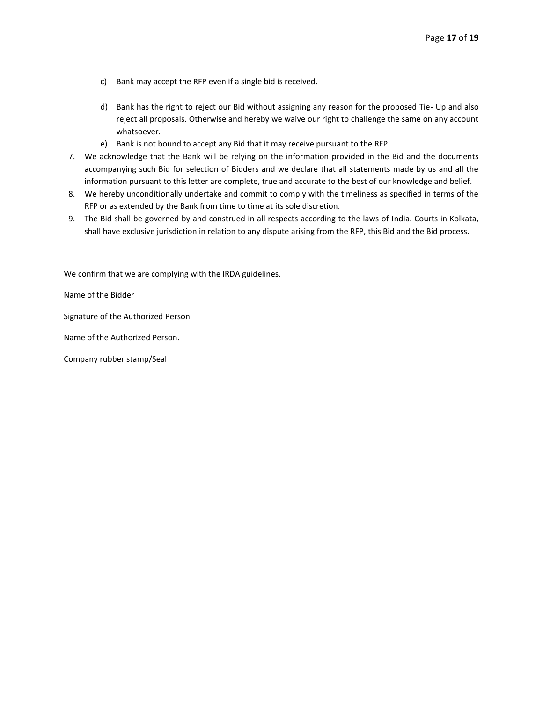- c) Bank may accept the RFP even if a single bid is received.
- d) Bank has the right to reject our Bid without assigning any reason for the proposed Tie- Up and also reject all proposals. Otherwise and hereby we waive our right to challenge the same on any account whatsoever.
- e) Bank is not bound to accept any Bid that it may receive pursuant to the RFP.
- 7. We acknowledge that the Bank will be relying on the information provided in the Bid and the documents accompanying such Bid for selection of Bidders and we declare that all statements made by us and all the information pursuant to this letter are complete, true and accurate to the best of our knowledge and belief.
- 8. We hereby unconditionally undertake and commit to comply with the timeliness as specified in terms of the RFP or as extended by the Bank from time to time at its sole discretion.
- 9. The Bid shall be governed by and construed in all respects according to the laws of India. Courts in Kolkata, shall have exclusive jurisdiction in relation to any dispute arising from the RFP, this Bid and the Bid process.

We confirm that we are complying with the IRDA guidelines.

Name of the Bidder

Signature of the Authorized Person

Name of the Authorized Person.

Company rubber stamp/Seal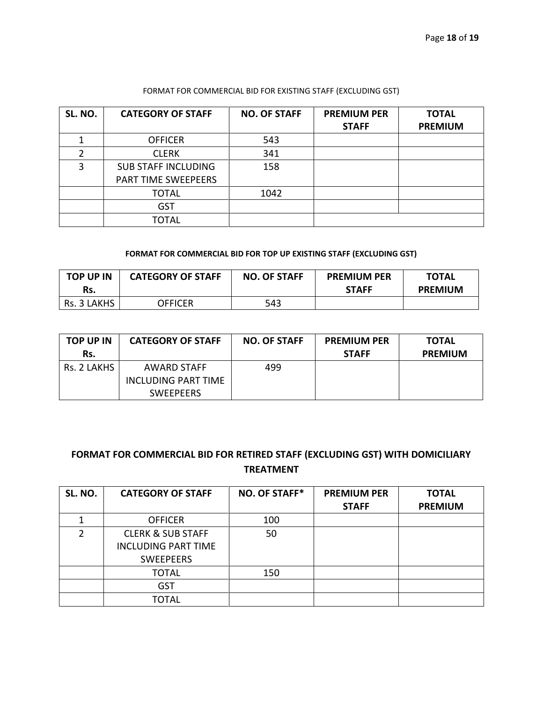#### FORMAT FOR COMMERCIAL BID FOR EXISTING STAFF (EXCLUDING GST)

| SL. NO. | <b>CATEGORY OF STAFF</b>   | <b>NO. OF STAFF</b> | <b>PREMIUM PER</b><br><b>STAFF</b> | <b>TOTAL</b><br><b>PREMIUM</b> |
|---------|----------------------------|---------------------|------------------------------------|--------------------------------|
|         | <b>OFFICER</b>             | 543                 |                                    |                                |
|         | <b>CLERK</b>               | 341                 |                                    |                                |
| 3       | <b>SUB STAFF INCLUDING</b> | 158                 |                                    |                                |
|         | PART TIME SWEEPEERS        |                     |                                    |                                |
|         | <b>TOTAL</b>               | 1042                |                                    |                                |
|         | <b>GST</b>                 |                     |                                    |                                |
|         | <b>TOTAL</b>               |                     |                                    |                                |

#### **FORMAT FOR COMMERCIAL BID FOR TOP UP EXISTING STAFF (EXCLUDING GST)**

| <b>TOP UP IN</b> | <b>CATEGORY OF STAFF</b> | <b>NO. OF STAFF</b> | <b>PREMIUM PER</b> | <b>TOTAL</b>   |
|------------------|--------------------------|---------------------|--------------------|----------------|
| Rs.              |                          |                     | <b>STAFF</b>       | <b>PREMIUM</b> |
| Rs. 3 LAKHS      | OFFICER                  | 543                 |                    |                |

| <b>TOP UP IN</b> | <b>CATEGORY OF STAFF</b> | <b>NO. OF STAFF</b> | <b>PREMIUM PER</b> | <b>TOTAL</b>   |
|------------------|--------------------------|---------------------|--------------------|----------------|
| Rs.              |                          |                     | <b>STAFF</b>       | <b>PREMIUM</b> |
| Rs. 2 LAKHS      | AWARD STAFF              | 499                 |                    |                |
|                  | INCLUDING PART TIME      |                     |                    |                |
|                  | <b>SWEEPEERS</b>         |                     |                    |                |

## **FORMAT FOR COMMERCIAL BID FOR RETIRED STAFF (EXCLUDING GST) WITH DOMICILIARY TREATMENT**

| SL. NO.       | <b>CATEGORY OF STAFF</b>     | NO. OF STAFF* | <b>PREMIUM PER</b> | <b>TOTAL</b>   |
|---------------|------------------------------|---------------|--------------------|----------------|
|               |                              |               | <b>STAFF</b>       | <b>PREMIUM</b> |
|               | <b>OFFICER</b>               | 100           |                    |                |
| $\mathcal{P}$ | <b>CLERK &amp; SUB STAFF</b> | 50            |                    |                |
|               | <b>INCLUDING PART TIME</b>   |               |                    |                |
|               | <b>SWEEPEERS</b>             |               |                    |                |
|               | <b>TOTAL</b>                 | 150           |                    |                |
|               | <b>GST</b>                   |               |                    |                |
|               | <b>TOTAL</b>                 |               |                    |                |